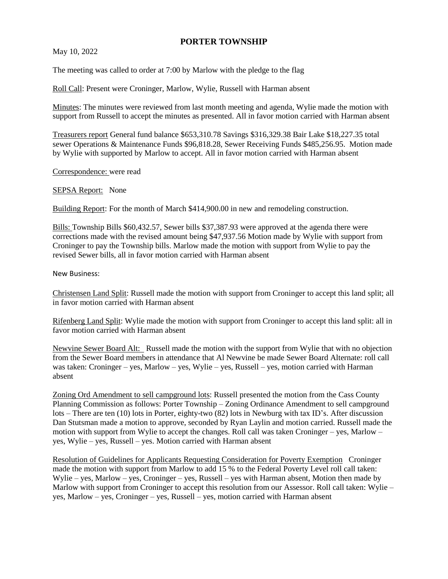## **PORTER TOWNSHIP**

May 10, 2022

The meeting was called to order at 7:00 by Marlow with the pledge to the flag

Roll Call: Present were Croninger, Marlow, Wylie, Russell with Harman absent

Minutes: The minutes were reviewed from last month meeting and agenda, Wylie made the motion with support from Russell to accept the minutes as presented. All in favor motion carried with Harman absent

Treasurers report General fund balance \$653,310.78 Savings \$316,329.38 Bair Lake \$18,227.35 total sewer Operations & Maintenance Funds \$96,818.28, Sewer Receiving Funds \$485,256.95. Motion made by Wylie with supported by Marlow to accept. All in favor motion carried with Harman absent

Correspondence: were read

## SEPSA Report: None

Building Report: For the month of March \$414,900.00 in new and remodeling construction.

Bills: Township Bills \$60,432.57, Sewer bills \$37,387.93 were approved at the agenda there were corrections made with the revised amount being \$47,937.56 Motion made by Wylie with support from Croninger to pay the Township bills. Marlow made the motion with support from Wylie to pay the revised Sewer bills, all in favor motion carried with Harman absent

New Business:

Christensen Land Split: Russell made the motion with support from Croninger to accept this land split; all in favor motion carried with Harman absent

Rifenberg Land Split: Wylie made the motion with support from Croninger to accept this land split: all in favor motion carried with Harman absent

Newvine Sewer Board Alt: Russell made the motion with the support from Wylie that with no objection from the Sewer Board members in attendance that Al Newvine be made Sewer Board Alternate: roll call was taken: Croninger – yes, Marlow – yes, Wylie – yes, Russell – yes, motion carried with Harman absent

Zoning Ord Amendment to sell campground lots: Russell presented the motion from the Cass County Planning Commission as follows: Porter Township – Zoning Ordinance Amendment to sell campground lots – There are ten (10) lots in Porter, eighty-two (82) lots in Newburg with tax ID's. After discussion Dan Stutsman made a motion to approve, seconded by Ryan Laylin and motion carried. Russell made the motion with support from Wylie to accept the changes. Roll call was taken Croninger – yes, Marlow – yes, Wylie – yes, Russell – yes. Motion carried with Harman absent

Resolution of Guidelines for Applicants Requesting Consideration for Poverty Exemption Croninger made the motion with support from Marlow to add 15 % to the Federal Poverty Level roll call taken: Wylie – yes, Marlow – yes, Croninger – yes, Russell – yes with Harman absent, Motion then made by Marlow with support from Croninger to accept this resolution from our Assessor. Roll call taken: Wylie – yes, Marlow – yes, Croninger – yes, Russell – yes, motion carried with Harman absent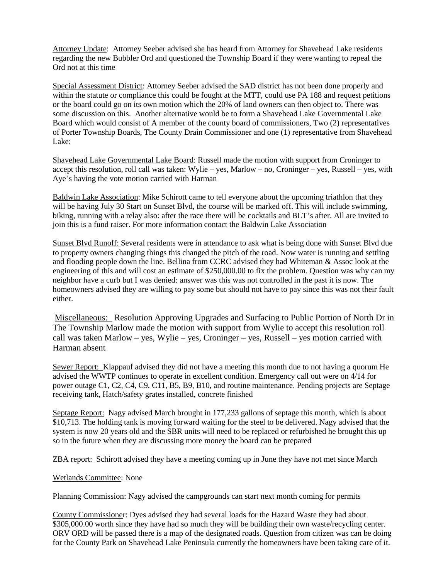Attorney Update: Attorney Seeber advised she has heard from Attorney for Shavehead Lake residents regarding the new Bubbler Ord and questioned the Township Board if they were wanting to repeal the Ord not at this time

Special Assessment District: Attorney Seeber advised the SAD district has not been done properly and within the statute or compliance this could be fought at the MTT, could use PA 188 and request petitions or the board could go on its own motion which the 20% of land owners can then object to. There was some discussion on this. Another alternative would be to form a Shavehead Lake Governmental Lake Board which would consist of A member of the county board of commissioners, Two (2) representatives of Porter Township Boards, The County Drain Commissioner and one (1) representative from Shavehead Lake:

Shavehead Lake Governmental Lake Board: Russell made the motion with support from Croninger to accept this resolution, roll call was taken: Wylie – yes, Marlow – no, Croninger – yes, Russell – yes, with Aye's having the vote motion carried with Harman

Baldwin Lake Association: Mike Schirott came to tell everyone about the upcoming triathlon that they will be having July 30 Start on Sunset Blvd, the course will be marked off. This will include swimming, biking, running with a relay also: after the race there will be cocktails and BLT's after. All are invited to join this is a fund raiser. For more information contact the Baldwin Lake Association

Sunset Blvd Runoff: Several residents were in attendance to ask what is being done with Sunset Blvd due to property owners changing things this changed the pitch of the road. Now water is running and settling and flooding people down the line. Bellina from CCRC advised they had Whiteman & Assoc look at the engineering of this and will cost an estimate of \$250,000.00 to fix the problem. Question was why can my neighbor have a curb but I was denied: answer was this was not controlled in the past it is now. The homeowners advised they are willing to pay some but should not have to pay since this was not their fault either.

Miscellaneous: Resolution Approving Upgrades and Surfacing to Public Portion of North Dr in The Township Marlow made the motion with support from Wylie to accept this resolution roll call was taken Marlow – yes, Wylie – yes, Croninger – yes, Russell – yes motion carried with Harman absent

Sewer Report: Klappauf advised they did not have a meeting this month due to not having a quorum He advised the WWTP continues to operate in excellent condition. Emergency call out were on 4/14 for power outage C1, C2, C4, C9, C11, B5, B9, B10, and routine maintenance. Pending projects are Septage receiving tank, Hatch/safety grates installed, concrete finished

Septage Report: Nagy advised March brought in 177,233 gallons of septage this month, which is about \$10,713. The holding tank is moving forward waiting for the steel to be delivered. Nagy advised that the system is now 20 years old and the SBR units will need to be replaced or refurbished he brought this up so in the future when they are discussing more money the board can be prepared

ZBA report: Schirott advised they have a meeting coming up in June they have not met since March

Wetlands Committee: None

Planning Commission: Nagy advised the campgrounds can start next month coming for permits

County Commissioner: Dyes advised they had several loads for the Hazard Waste they had about \$305,000.00 worth since they have had so much they will be building their own waste/recycling center. ORV ORD will be passed there is a map of the designated roads. Question from citizen was can be doing for the County Park on Shavehead Lake Peninsula currently the homeowners have been taking care of it.